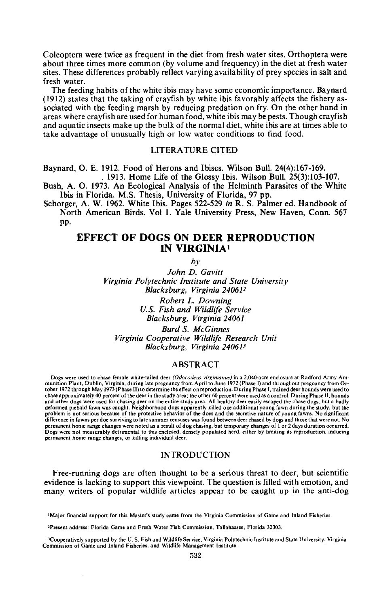Coleoptera were twice as frequent in the diet from fresh water sites. Orthoptera were about three times more common (by volume and frequency) in the diet at fresh water sites. These differences probably reflect varying availability of prey species in salt and fresh water.

The feeding habits of the white ibis may have some economic importance. Baynard (1912) states that the taking of crayfish by white ibis favorably affects the fishery associated with the feeding marsh by reducing predation on fry. On the other hand in areas where crayfish are used for human food, white ibis may be pests. Though crayfish and aquatic insects make up the bulk of the normal diet, white ibis are at times able to take advantage of unusually high or low water conditions to find food.

## LITERATURE CITED

Baynard, O. E. 1912. Food of Herons and Ibises. Wilson Bull. 24(4):167-169. . 1913. Home Life of the Glossy Ibis. Wilson Bull. 25(3):103-107.

Bush, A. O. 1973. An Ecological Analysis of the Helminth Parasites of the White Ibis in Florida. M.S. Thesis, University of Florida, 97 pp.

Schorger, A W. 1962. White Ibis. Pages 522-529 *in* R. S. Palmer ed. Handbook of North American Birds. Vol 1. Yale University Press, New Haven, Conn. 567 pp.

# EFFECT OF DOGS ON DEER REPRODUCTION IN VIRGINIA<sup>1</sup>

*by*

*John D. Gavitt Virginia Polytechnic Institute and State University Blacksburg, Virginia 240612 Robert* L. *Downing U.S. Fish and Wildlife Service Blacksburg, Virginia 24061 Burd* S. *McGinnes Virginia Cooperative Wildlife Research Unit*

*Blacksburg, Virginia 24061*<sup>3</sup>

# ABSTRACT

Dogs were used to chase female white-tailed deer (Odocoileus virginianus) in a 2,040-acre enclosure at Radford Army Am-<br>munition Plant, Dublin, Virginia, during late pregnancy from April to June 1972 (Phase I) and througho tober 1972 through May 1973 (Phase II) to detenninethe effect on reproduction. During Phase I, trained deer hounds were used to chase approximately 40 percent of the deer in the study area; the other 60 percent were used as a control. During Phase II, hounds<br>and other dogs were used for chasing deer on the entire study area. All healthy deer easily defonned piebald fawn was caught. Neighborhood dogs apparently killed one additional young fawn during the study, but the problem is not serious because of the protective behavior of the does and the secretive nature of young fawns. No significant difference in fawns per doe surviving to late summer censuses was found between deer chased by dogs and those that were not. No permanent home range changes were noted as a result of dog chasing, but temporary changes of I or 2 days duration occurred. Dogs were not measurably detrimental to this enclosed, densely populated herd, either by limiting its reproduction, inducing permanent home range changes, or killing individual deer.

## INTRODUCTION

Free-running dogs are often thought to be a serious threat to deer, but scientific evidence is lacking to support this viewpoint. The question is filled with emotion, and many writers of popular wildlife articles appear to be caught up in the anti-dog

IMajor financial support for this Master's study came from the Virginia Commission of Game and Inland Fisheries.

<sup>2</sup>Present address: Florida Game and Fresh Water Fish Commission, Tallahassee, Florida 32303.

<sup>3</sup>Cooperatively supported by the U. S. Fish and Wildlife Service, Virginia Polytechnic Institute and State University, Virginia Commission of Game and Inland Fisheries, and Wildlife Management Institute.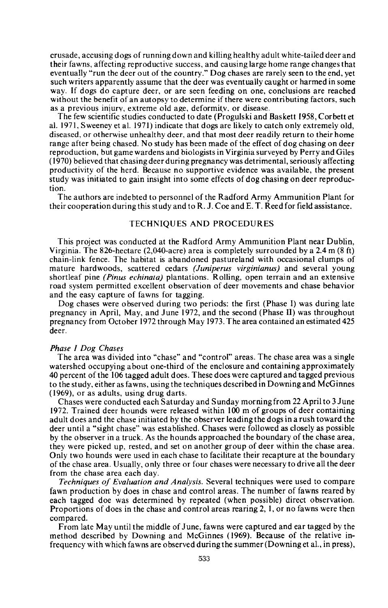crusade, accusing dogs of running down and killing healthy adult white-tailed deer and their fawns, affecting reproductive success, and causing large home range changes that eventually "run the deer out of the country." Dog chases are rarely seen to the end, yet such writers apparently assume that the deer was eventually caught or harmed in some way. If dogs do capture deer, or are seen feeding on one, conclusions are reached without the benefit of an autopsy to determine if there were contributing factors, such as a previous injury, extreme old age, deformity, or disease.

The few scientific studies conducted to date (Progulski and Baskett 1958, Corbett et al. 1971, Sweeney et al. 1971) indicate that dogs are likely to catch only extremely old, diseased, or otherwise unhealthy deer, and that most deer readily return to their home range after being chased. No study has been made of the effect of dog chasing on deer reproduction, but game wardens and biologists in Virginia surveyed by Perry and Giles (1970) believed that chasing deer during pregnancy was detrimental, seriously affecting productivity of the herd. Because no supportive evidence was available, the present study was initiated to gain insight into some effects of dog chasing on deer reproduction.

The authors are indebted to personnel of the Radford Army Ammunition Plant for their cooperation during this study and to R. J. Coe and E. T. Reed for field assistance.

## TECHNIQUES AND PROCEDURES

This project was conducted at the Radford Army Ammunition Plant near Dublin, Virginia. The 826-hectare (2,040-acre) area is completely surrounded by a 2.4 m (8 ft) chain-link fence. The habitat is abandoned pastureland with occasional clumps of mature hardwoods, scattered cedars *(Juniperus virginianus)* and several young shortleaf pine *(Pinus echinata)* plantations. Rolling, open terrain and an extensive road system permitted excellent observation of deer movements and chase behavior and the easy capture of fawns for tagging.

Dog chases were observed during two periods: the first (Phase I) was during late pregnancy in April, May, and June 1972, and the second (Phase II) was throughout pregnancy from October 1972 through May 1973. The area contained an estimated 425 deer.

## *Phase I Dog Chases*

The area was divided into "chase" and "control" areas. The chase area was a single watershed occupying about one-third of the enclosure and containing approximately 40 percent of the 106 tagged adult does. These does were captured and tagged previous to the study, either as fawns, using the techniques described in Downing and McGinnes (1969), or as adults, using drug darts.

Chases were conducted each Saturday and Sunday morning from 22 April to 3 June 1972. Trained deer hounds were released within 100 m of groups of deer containing adult does and the chase initiated by the <sup>0</sup> bserver leading the dogs in a rush toward the deer until a "sight chase" was established. Chases were followed as closely as possible by the observer in a truck. As the hounds approached the boundary of the chase area, they were picked up, rested, and set on another group of deer within the chase area. Only two hounds were used in each chase to facilitate their recapture at the boundary of the chase area. Usually, only three or four chases were necessary to drive all the deer from the chase area each day.

*Techniques of Evaluation and Analysis.* Several techniques were used to compare fawn production by does in chase and control areas. The number of fawns reared by each tagged doe was determined by repeated (when possible) direct observation. Proportions of does in the chase and control areas rearing 2,1, or no fawns were then compared.

From late May until the middle of June, fawns were captured and ear tagged by the method described by Downing and McGinnes (1969). Because of the relative infrequency with which fawns are observed during the summer(Downing et aI., in press),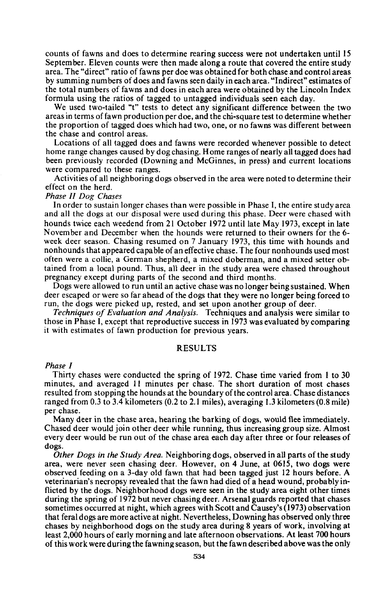counts of fawns and does to determine rearing success were not undertaken until 15 September. Eleven counts were then made along a route that covered the entire study area. The "direct" ratio of fawns per doe was obtained for both chase and control areas by summing numbers of does and fawns seen daily in each area. "Indirect" estimates of the total numbers of fawns and does in each area were obtained by the Lincoln Index formula using the ratios of tagged to untagged individuals seen each day.

We used two-tailed "t" tests to detect any significant difference between the two areas in tenns offawn production per doe, and the chi-square test to determine whether the proportion of tagged does which had two, one, or no fawns was different between the chase and control areas.

Locations of all tagged does and fawns were recorded whenever possible to detect home range changes caused by dog chasing. Home ranges of nearly all tagged does had been previously recorded (Downing and McGinnes, in press) and current locations were compared to these ranges.

Activities of all neighboring dogs <sup>0</sup> bserved in the area were noted to determine their effect on the herd.

*Phase II Dog Chases* and all the dogs at our disposal were used during this phase. Deer were chased with hounds twice each weedend from 21 October 1972 until late May 1973, except in late November and December when the hounds were returned to their owners for the 6 week deer season. Chasing resumed on 7 January 1973, this time with hounds and nonhounds that appeared capable of an effective chase. The four nonhounds used most often were a collie, a German shepherd, a mixed doberman, and a mixed setter obtained from a local pound. Thus, all deer in the study area were chased throughout pregnancy except during parts of the second and third months.

Dogs were allowed to run until an active chase was no longer being sustained. When deer escaped or were so far ahead of the dogs that they were no longer being forced to run, the dogs were picked up, rested, and set upon another group of deer. *Techniques of Evaluation and Analysis.* Techniques and analysis were similar to

those in Phase I, except that reproductive success in 1973 was evaluated by comparing it with estimates of fawn production for previous years.

## RESULTS

#### *Phase I*

Thirty chases were conducted the spring of 1972. Chase time varied from I to 30 minutes, and averaged **II** minutes per chase. The short duration of most chases resulted from stopping the hounds at the boundary ofthe control area. Chase distances ranged from 0.3 to 3.4 kilometers (0.2 to 2.1 miles), averaging 1.3 kilometers (0.8 mile) per chase.

Many deer in the chase area, hearing the barking of dogs, would flee immediately. Chased deer would join other deer while running, thus increasing group size. Almost every deer would be run out of the chase area each day after three or four releases of dogs.

*Other Dogs in the Study Area.* Neighboring dogs, observed in all parts of the study area, were never seen chasing deer. However, on 4 June, at 0615, two dogs were observed feeding on a 3-day old fawn that had been tagged just 12 hours before. A veterinarian's necropsy revealed that the fawn had died of a head wound, probably inflicted by the dogs. Neighborhood dogs were seen in the study area eight other times during the spring of 1972 but never chasing deer. Arsenal guards reported that chases sometimes occurred at night, which agrees with Scott and Causey's(1973) observation that feral dogs are more active at night. Nevertheless, Downing has observed only three chases by neighborhood dogs on the study area during 8 years of work, involving at least 2,000 hours of early morning and late afternoon observations. At least 700 hours of this work were during the fawning season, but the fawn described above was the only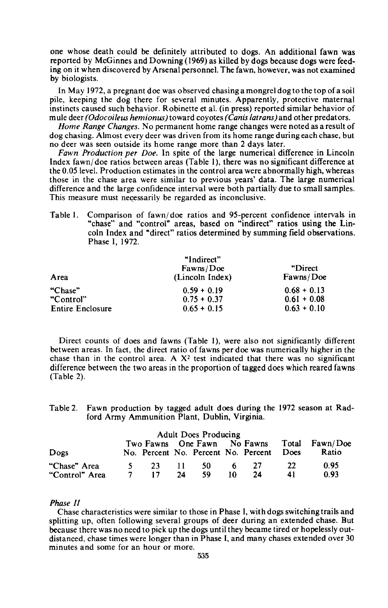one whose death could be definitely attributed to dogs. An additional fawn was reported by McGinnes and Downing (1969) as killed by dogs because dogs were feeding on it when discovered by Arsenal personnel. The fawn, however, was not examined by biologists.

In May 1972, a pregnant doe was observed chasing a mongrel dog to the top of a soil pile, keeping the dog there for several minutes. Apparently, protective maternal instincts caused such behavior. Robinette et al. (in press) reported similar behavior of mule deer *(Odocoileus hemionus)* toward coyotes *(Canis /atrans)* and other predators.

*Home Range Changes.* No permanent home range changes were noted as a result of dog chasing. Almost every deer was driven from its home range during each chase, but no deer was seen outside its home range more than 2 days later.

*Fawn Production per Doe.* In spite of the large numerical difference in Lincoln Index fawn/ doe ratios between areas (Table I), there was no significant difference at the 0.05 level. Production estimates in the control area were abnormally high, whereas those in the chase area were similar to previous years' data. The large numerical difference and the large confidence interval were both partially due to small samples. This measure must necessarily be regarded as inconclusive.

Table I. Comparison of fawn/ doe ratios and 95-percent confidence intervals in "chase" and "control" areas, based on "indirect" ratios using the Lincoln Index and "direct" ratios determined by summing field observations. Phase I, 1972.

| Area                    | "Indirect"<br>Fawns/Doe<br>(Lincoln Index) | "Direct"<br>Fawns/Doe |
|-------------------------|--------------------------------------------|-----------------------|
| "Chase"                 | $0.59 + 0.19$                              | $0.68 + 0.13$         |
| "Control"               | $0.75 + 0.37$                              | $0.61 + 0.08$         |
| <b>Entire Enclosure</b> | $0.65 + 0.15$                              | $0.63 + 0.10$         |

Direct counts of does and fawns (Table 1), were also not significantly different between areas. In fact, the direct ratio of fawns per doe was numerically higher in the chase than in the control area. A  $X^2$  test indicated that there was no significant difference between the two areas in the proportion of tagged does which reared fawns (Table 2).

Table 2. Fawn production by tagged adult does during the 1972 season at Radford Army Ammunition Plant, Dublin, Virginia.

|                | <b>Adult Does Producing</b> |     |       |                                     |    |     |             |                                            |
|----------------|-----------------------------|-----|-------|-------------------------------------|----|-----|-------------|--------------------------------------------|
|                |                             |     |       |                                     |    |     |             | Two Fawns One Fawn No Fawns Total Fawn/Doe |
| Dogs           |                             |     |       | No. Percent No. Percent No. Percent |    |     | <b>Does</b> | Ratio                                      |
| "Chase" Area   |                             | -23 | -11 - | -50                                 | 6. | -27 | -22         | 0.95                                       |
| "Control" Area |                             | 17  | 24    | 59                                  | 10 | 24  | 41          | 0.93                                       |

### *Phase II*

Chase characteristics were similar to those in Phase I, with dogs switching trails and splitting up, often following several groups of deer during an extended chase. But because there was no need to pick up the dogs until they became tired or hopelessly outdistanced, chase times were longer than in Phase I, and many chases extended over 30 minutes and some for an hour or more.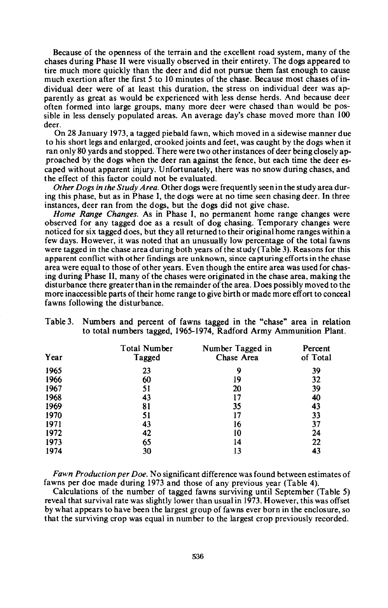Because of the openness of the terrain and the excellent road system, many of the chases during Phase II were visually observed in their entirety. The dogs appeared to tire much more quickly than the deer and did not pursue them fast enough to cause much exertion after the first 5 to 10 minutes of the chase. Because most chases ofindividual deer were of at least this duration, the stress on individual deer was apparently as great as would be experienced with less dense herds. And because deer often formed into large groups, many more deer were chased than would be possible in less densely populated areas. An average day's chase moved more than 100 deer.

On 28 January 1973, a tagged piebald fawn, which moved in a sidewise manner due to his short legs and enlarged, crooked joints and feet, was caught by the dogs when it ran only 80 yards and stopped. There were two other instances of deer being closely approached by the dogs when the deer ran against the fence, but each time the deer escaped without apparent injury. Unfortunately, there was no snow during chases, and the effect of this factor could not be evaluated.

*Other Dogs in the Study Area.* Other dogs were frequently seen in the study area during this phase, but as in Phase I, the dogs were at no time seen chasing deer. In three instances, deer ran from the dogs, but the dogs did not give chase.

*Home Range Changes.* As in Phase I, no permanent home range changes were observed for any tagged doe as a result of dog chasing. Temporary changes were noticed for six tagged does, but they all returned to their original home ranges within a few days. However, it was noted that an unusually low percentage of the total fawns were tagged in the chase area during both years of the study (Table 3). Reasons for this apparent conflict with other findings are unknown, since capturing efforts in the chase area were equal to those of other years. Even though the entire area was used for chasing during Phase II, many of the chases were originated in the chase area, making the disturbance there greater than in the remainder of the area. Does possibly moved to the more inaccessible parts of their home range to give birth or made more effort to conceal fawns following the disturbance.

| Year | <b>Total Number</b><br>Tagged | Number Tagged in<br>Chase Area | Percent<br>of Total |
|------|-------------------------------|--------------------------------|---------------------|
| 1965 | 23                            | 9                              | 39                  |
| 1966 | 60                            | 19                             | 32                  |
| 1967 | 51                            | 20                             | 39                  |
| 1968 | 43                            | 17                             | 40                  |
| 1969 | 81                            | 35                             | 43                  |
| 1970 | 51                            | 17                             | 33                  |
| 1971 | 43                            | 16                             | 37                  |
| 1972 | 42                            | 10                             | 24                  |
| 1973 | 65                            | 14                             | 22                  |
| 1974 | 30                            | 13                             | 43                  |

| Table 3. Numbers and percent of fawns tagged in the "chase" area in relation |  |  |  |  |
|------------------------------------------------------------------------------|--|--|--|--|
| to total numbers tagged, 1965-1974, Radford Army Ammunition Plant.           |  |  |  |  |

*Fawn Production per Doe.* No significant difference was found between estimates of fawns per doe made during 1973 and those of any previous year (Table 4).

Calculations of the number of tagged fawns surviving until September (Table 5) reveal that survival rate was slightly lower than usual in 1973. However, this was offset by what appears to have been the largest group of fawns ever born in the enclosure, so that the surviving crop was equal in number to the largest crop previously recorded.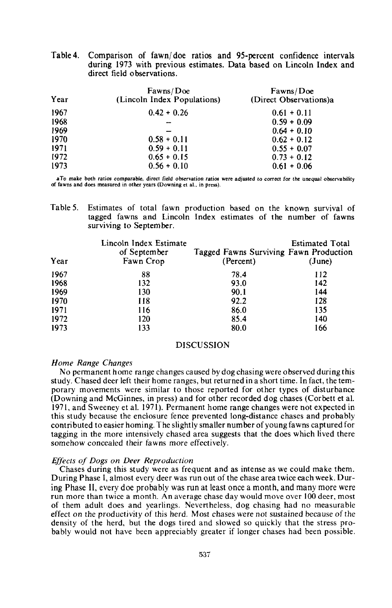| Table 4. Comparison of fawn/doe ratios and 95-percent confidence intervals |  |  |  |
|----------------------------------------------------------------------------|--|--|--|
| during 1973 with previous estimates. Data based on Lincoln Index and       |  |  |  |
| direct field observations.                                                 |  |  |  |

| Year | Fawns/Doe<br>(Lincoln Index Populations) | Fawns/Doe<br>(Direct Observations)a |
|------|------------------------------------------|-------------------------------------|
| 1967 | $0.42 + 0.26$                            | $0.61 + 0.11$                       |
| 1968 |                                          | $0.59 + 0.09$                       |
| 1969 |                                          | $0.64 + 0.10$                       |
| 1970 | $0.58 + 0.11$                            | $0.62 + 0.12$                       |
| 1971 | $0.59 + 0.11$                            | $0.55 + 0.07$                       |
| 1972 | $0.65 + 0.15$                            | $0.73 + 0.12$                       |
| 1973 | $0.56 + 0.10$                            | $0.61 + 0.06$                       |

aTo make both ratios comparable, direct field observation ratios were adjusted to correct for the unequal observability **of fawns and does measured in other years (Downing et aI., in press).**

Table 5. Estimates of total fawn production based on the known survival of tagged fawns and Lincoln Index estimates of the number of fawns surviving to September.

| Year | Lincoln Index Estimate<br>of September<br>Fawn Crop | Tagged Fawns Surviving Fawn Production<br>(Percent) | <b>Estimated Total</b><br>(June) |
|------|-----------------------------------------------------|-----------------------------------------------------|----------------------------------|
| 1967 | 88                                                  | 78.4                                                | 112                              |
| 1968 | 132                                                 | 93.0                                                | 142                              |
| 1969 | 130                                                 | 90.1                                                | 144                              |
| 1970 | 118                                                 | 92.2                                                | 128                              |
| 1971 | 116                                                 | 86.0                                                | 135                              |
| 1972 | 120                                                 | 85.4                                                | 140                              |
| 1973 | 133                                                 | 80.0                                                | 166                              |

#### DISCUSSION

## *Home Range Changes*

No permanent home range changes caused by dog chasing were observed during this study. Chased deer left their home ranges, but returned in a short time. In fact, the temporary movements were similar to those reported for other types of disturbance (Downing and McGinnes, in press) and for other recorded dog chases (Corbett et al. 1971, and Sweeney et al. 1971). Permanent home range changes were not expected in this study because the enclosure fence prevented long-distance chases and probably contributed to easier homing. The slightly smaller number of young fawns captured for tagging in the more intensively chased area suggests that the does which lived there somehow concealed their fawns more effectively.

## *Effects of Dogs on Deer Reproduction*

Chases during this study were as frequent and as intense as we could make them. During Phase I, almost every deer was run out of the chase area twice each week. During Phase II, every doe probably was run at least once a month, and many more were run more than twice a month. An average chase day would move over 100 deer, most of them adult does and yearlings. Nevertheless, dog chasing had no measurable effect on the productivity of this herd. Most chases were not sustained because of the density of the herd, but the dogs tired and slowed so quickly that the stress probably would not have been appreciably greater if longer chases had been possible.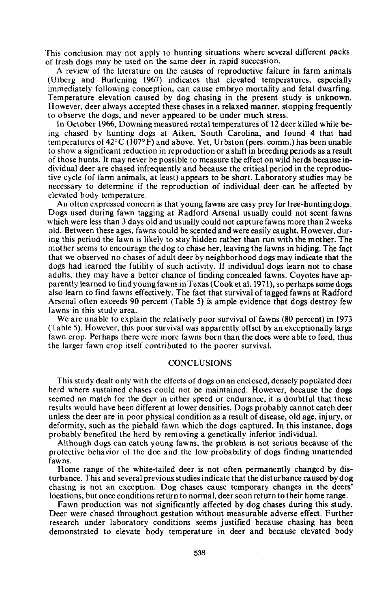This conclusion may not apply to hunting situations where several different packs of fresh dogs may be used on the same deer in rapid succession.

A review of the literature on the causes of reproductive failure in farm animals (Ulberg and Burfening 1967) indicates that elevated temperatures, especially immediately following conception, can cause embryo mortality and fetal dwarfing. Temperature elevation caused by dog chasing in the present study is unknown. However, deer always accepted these chases in a relaxed manner, stopping frequently to observe the dogs, and never appeared to be under much stress.

In October 1966, Downing measured rectal temperatures of 12 deer killed while being chased by hunting dogs at Aiken, South Carolina, and found 4 that had temperatures of 42°C (107° F) and above. Yet, Urbston (pers. comm.) has been unable to show a significant reduction in reproduction or a shift in breeding periods as a result of those hunts. It may never be possible to measure the effect on wild herds because individual deer are chased infrequently and because the critical period in the reproductive cycle (of farm animals, at least) appears to be short. Laboratory studies may be necessary to determine if the reproduction of individual deer can be affected by elevated body temperature.

An often expressed concern is that young fawns are easy prey for free-hunting dogs. Dogs used during fawn tagging at Radford Arsenal usually could not scent fawns which were less than 3 days old and usually could not capture fawns more than 2 weeks old. Between these ages, fawns could be scented and were easily caught. However, during this period the fawn is likely to stay hidden rather than run with the mother. The mother seems to encourage the dog to chase her, leaving the fawns in hiding. The fact that we observed no chases of adult deer by neighborhood dogs may indicate that the dogs had learned the futility of such activity. If individual dogs learn not to chase adults, they may have a better chance of finding concealed fawns. Coyotes have apparently learned to find young fawns inTexas(Cook et al. 1971), so perhaps some dogs also learn to find fawns effectively. The fact that survival of tagged fawns at Radford Arsenal often exceeds 90 percent (Table 5) is ample evidence that dogs destroy few fawns in this study area.

We are unable to explain the relatively poor survival of fawns (80 percent) in 1973 (Table 5). However, this poor survival was apparently offset by an exceptionally large fawn crop. Perhaps there were more fawns born than the does were able to feed, thus the larger fawn crop itself contributed to the poorer survival.

## **CONCLUSIONS**

This study dealt only with the effects of dogs on an enclosed, densely populated deer herd where sustained chases could not be maintained. However, because the dogs seemed no match for the deer in either speed or endurance, it is doubtful that these results would have been different at lower densities. Dogs probably cannot catch deer unless the deer are in poor physical condition as a result of disease, old age, injury, or deformity, such as the piebald fawn which the dogs captured. In this instance, dogs probably benefited the herd by removing a genetically inferior individual.

Although dogs can catch young fawns, the problem is not serious because of the protective behavior of the doe and the low probability of dogs finding unattended fawns.

Home range of the white-tailed deer is not often permanently changed by disturbance. This and several previous studiesindicate that the disturbance caused by dog chasing is not an exception. Dog chases cause temporary changes in the deers' locations, but once conditions return to normal, deer soon return to their home range.

Fawn production was not significantly affected by dog chases during this study. Deer were chased throughout gestation without measurable adverse effect. Further research under laboratory conditions seems justified because chasing has been demonstrated to elevate body temperature in deer and because elevated body